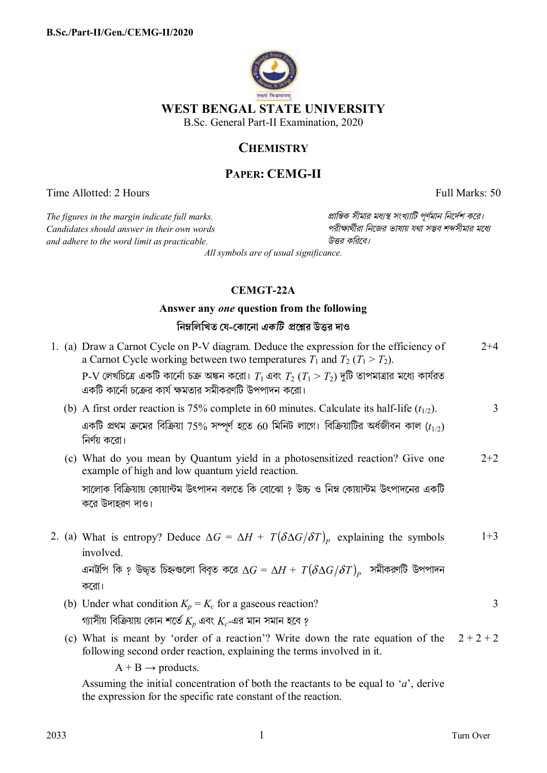

# **CHEMISTRY**

# **PAPER: CEMG-II**

Time Allotted: 2 Hours Full Marks: 50

 $C$ *andidates should answer in their own words and adhere to the word limit as practicable. উtর কিরেব।*

*The figures in the margin indicate full marks. pািnক সীমার মধ°s সংখ°ািট পূণমান িনেদশ কের।*

*All symbols are of usual significance.*

# **CEMGT-22A**

## **Answer any** *one* **question from the following িনmিলিখত েয-েকােনা** *একিট* **pেűর উtর দাও**

|  | 1. (a) Draw a Carnot Cycle on P-V diagram. Deduce the expression for the efficiency of<br>a Carnot Cycle working between two temperatures $T_1$ and $T_2$ ( $T_1 > T_2$ ).<br>$P$ -V লেখচিত্রে একটি কার্নো চক্র অঙ্কন করো। $T_1$ এবং $T_2$ ( $T_1 > T_2$ ) দুটি তাপমাত্রার মধ্যে কার্যরত<br>একটি কার্নো চক্রের কার্য ক্ষমতার সমীকরণটি উপপাদন করো। | $2+4$          |
|--|---------------------------------------------------------------------------------------------------------------------------------------------------------------------------------------------------------------------------------------------------------------------------------------------------------------------------------------------------|----------------|
|  | (b) A first order reaction is 75% complete in 60 minutes. Calculate its half-life $(t_{1/2})$ .<br>একটি প্রথম ক্রমের বিক্রিয়া 75% সম্পূর্ণ হতে 60 মিনিট লাগে। বিক্রিয়াটির অর্ধজীবন কাল ( $t_{1/2}$ )<br>নির্ণয় করো।                                                                                                                            | $\overline{3}$ |
|  | (c) What do you mean by Quantum yield in a photosensitized reaction? Give one<br>example of high and low quantum yield reaction.<br>সালোক বিক্রিয়ায় কোয়ান্টম উৎপাদন বলতে কি বোঝো ? উচ্চ ও নিম্ন কোয়ান্টম উৎপাদনের একটি<br>করে উদাহরণ দাও।                                                                                                     | $2+2$          |
|  | 2. (a) What is entropy? Deduce $\Delta G = \Delta H + T(\delta \Delta G/\delta T)_{p}$ explaining the symbols<br>involved.<br>এনট্রপি কি ? উদ্ধৃত চিহ্নগুলো বিবৃত করে $\Delta G = \Delta H + T(\delta \Delta G/\delta T)_P$ সমীকরণটি উপপাদন<br>করো।                                                                                               | $1 + 3$        |
|  | (b) Under what condition $K_p = K_c$ for a gaseous reaction?<br>গ্যাসীয় বিক্রিয়ায় কোন শর্তে $K_p$ এবং $K_c$ -এর মান সমান হবে ?                                                                                                                                                                                                                 | $\overline{3}$ |
|  | (c) What is meant by 'order of a reaction'? Write down the rate equation of the $2+2+2$<br>following second order reaction, explaining the terms involved in it.                                                                                                                                                                                  |                |

 $A + B \rightarrow$  products.

Assuming the initial concentration of both the reactants to be equal to '*a*', derive the expression for the specific rate constant of the reaction.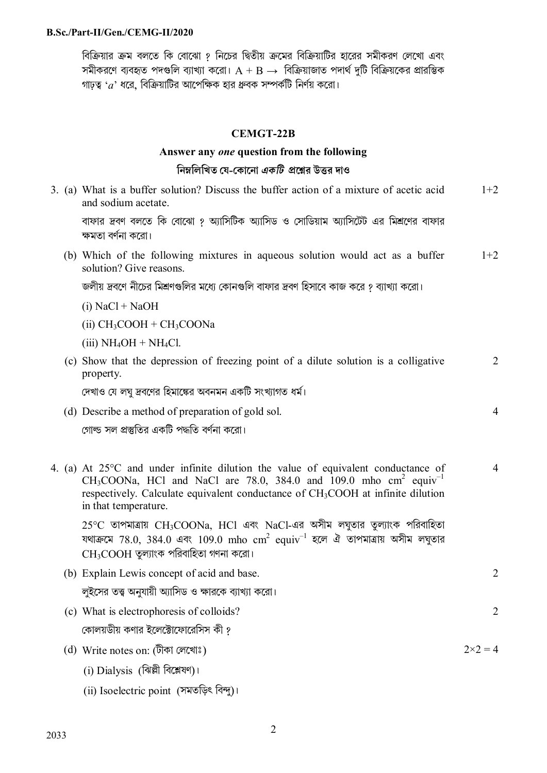#### **B.Sc./Part-II/Gen./CEMG-II/2020**

বিক্রিয়ার ক্রম বলতে কি বােঝাে ? নিচের দ্বিতীয় ক্রমের বিক্রিয়াটির হারের সমীকরণ লেখাে এবং সমীকরণে ব্যবহৃত পদগুলি ব্যাখ্যা করো।  $\rm A + B \rightarrow \,$  বিক্রিয়াজাত পদার্থ দুটি বিক্রিয়কের প্রারম্ভিক গাঢ়ত্ব *'* $a$ *'* ধরে, বিক্রিয়াটির আপেক্ষিক হার ধ্রুবক সম্পর্কটি নির্ণয় করো।

#### **CEMGT-22B**

### **Answer any** *one* **question from the following**

## **িনmিলিখত েয-েকােনা** *একিট* **pেűর উtর দাও**

|  | 3. (a) What is a buffer solution? Discuss the buffer action of a mixture of acetic acid<br>and sodium acetate.                                                                                                                                                                                                              | $1+2$            |
|--|-----------------------------------------------------------------------------------------------------------------------------------------------------------------------------------------------------------------------------------------------------------------------------------------------------------------------------|------------------|
|  | বাফার দ্রবণ বলতে কি বোঝো ? অ্যাসিটিক অ্যাসিড ও সোডিয়াম অ্যাসিটেট এর মিশ্রণের বাফার<br>ক্ষমতা বৰ্ণনা করো।                                                                                                                                                                                                                   |                  |
|  | (b) Which of the following mixtures in aqueous solution would act as a buffer<br>solution? Give reasons.                                                                                                                                                                                                                    | $1+2$            |
|  | জলীয় দ্রবণে নীচের মিশ্রণগুলির মধ্যে কোনগুলি বাফার দ্রবণ হিসাবে কাজ করে ? ব্যাখ্যা করো।                                                                                                                                                                                                                                     |                  |
|  | $(i)$ NaCl + NaOH                                                                                                                                                                                                                                                                                                           |                  |
|  | (ii) $CH_3COOH + CH_3COONa$                                                                                                                                                                                                                                                                                                 |                  |
|  | $(iii) NH4OH + NH4Cl.$                                                                                                                                                                                                                                                                                                      |                  |
|  | (c) Show that the depression of freezing point of a dilute solution is a colligative<br>property.                                                                                                                                                                                                                           | $\overline{2}$   |
|  | দেখাও যে লঘু দ্রবণের হিমাঙ্কের অবনমন একটি সংখ্যাগত ধর্ম।                                                                                                                                                                                                                                                                    |                  |
|  | (d) Describe a method of preparation of gold sol.                                                                                                                                                                                                                                                                           | $\overline{4}$   |
|  | গোল্ড সল প্রস্তুতির একটি পদ্ধতি বর্ণনা করো।                                                                                                                                                                                                                                                                                 |                  |
|  | 4. (a) At $25^{\circ}$ C and under infinite dilution the value of equivalent conductance of<br>CH <sub>3</sub> COONa, HCl and NaCl are 78.0, 384.0 and 109.0 mho cm <sup>2</sup> equiv <sup>-1</sup><br>respectively. Calculate equivalent conductance of CH <sub>3</sub> COOH at infinite dilution<br>in that temperature. | $\overline{4}$   |
|  | $25^{\circ}$ C তাপমাত্রায় $CH_3COONa$ , HCl এবং NaCl-এর অসীম লঘুতার তুল্যাংক পরিবাহিতা<br>যথাক্রমে 78.0, 384.0 এবং 109.0 mho $cm^2$ equiv <sup>-1</sup> হলে ঐ তাপমাত্রায় অসীম লঘুতার<br>CH <sub>3</sub> COOH তুল্যাংক পরিবাহিতা গণনা করো।                                                                                 |                  |
|  | (b) Explain Lewis concept of acid and base.                                                                                                                                                                                                                                                                                 | $\overline{2}$   |
|  | লুইসের তত্ত্ব অনুযায়ী অ্যাসিড ও ক্ষারকে ব্যাখ্যা করো।                                                                                                                                                                                                                                                                      |                  |
|  | (c) What is electrophoresis of colloids?                                                                                                                                                                                                                                                                                    | $\overline{2}$   |
|  | কোলয়ডীয় কণার ইলেক্টোফোরেসিস কী ?                                                                                                                                                                                                                                                                                          |                  |
|  | (d) Write notes on: (টীকা লেখোঃ)                                                                                                                                                                                                                                                                                            | $2 \times 2 = 4$ |
|  | (i) Dialysis (ঝিল্লী বিশ্লেষণ)।                                                                                                                                                                                                                                                                                             |                  |

(ii) Isoelectric point (সমতড়িৎ বিন্দু)।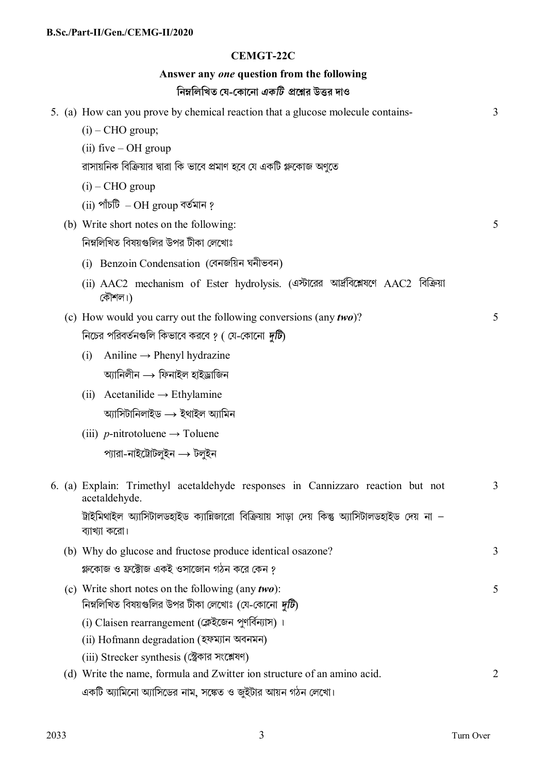### **CEMGT-22C**

### **Answer any** *one* **question from the following**

# **িনmিলিখত েয-েকােনা** *একিট* **pেűর উtর দাও**

|  | 5. (a) How can you prove by chemical reaction that a glucose molecule contains-                                 | 3              |
|--|-----------------------------------------------------------------------------------------------------------------|----------------|
|  | $(i)$ – CHO group;                                                                                              |                |
|  | $(ii)$ five $-OH$ group                                                                                         |                |
|  | রাসায়নিক বিক্রিয়ার দ্বারা কি ভাবে প্রমাণ হবে যে একটি গ্লুকোজ অণুতে                                            |                |
|  | $(i)$ – CHO group                                                                                               |                |
|  | (ii) পাঁচটি $-OH$ group বৰ্তমান ?                                                                               |                |
|  | (b) Write short notes on the following:                                                                         | 5              |
|  | নিম্নলিখিত বিষয়গুলির উপর টীকা লেখোঃ                                                                            |                |
|  | (i) Benzoin Condensation (বেনজয়িন ঘনীভবন)                                                                      |                |
|  | (ii) AAC2 mechanism of Ester hydrolysis. (এস্টারের আর্দ্রবিশ্লেষণে AAC2 বিক্রিয়া<br>কৌশল।)                     |                |
|  | (c) How would you carry out the following conversions (any $two$ )?                                             | 5              |
|  | নিচের পরিবর্তনগুলি কিভাবে করবে ? ( যে-কোনো দুটি)                                                                |                |
|  | Aniline $\rightarrow$ Phenyl hydrazine<br>(i)                                                                   |                |
|  | আানিলীন $\rightarrow$ ফিনাইল হাইড্ৰাজিন                                                                         |                |
|  | (ii) Acetanilide $\rightarrow$ Ethylamine                                                                       |                |
|  | আসিটানিলাইড $\longrightarrow$ ইথাইল আমিন                                                                        |                |
|  | (iii) <i>p</i> -nitrotoluene $\rightarrow$ Toluene                                                              |                |
|  | প্যারা-নাইট্রোটলুইন → টলুইন                                                                                     |                |
|  | 6. (a) Explain: Trimethyl acetal dehyde responses in Cannizzaro reaction but not<br>acetaldehyde.               | 3              |
|  | ট্রাইমিথাইল অ্যাসিটালডহাইড ক্যান্নিজারো বিক্রিয়ায় সাড়া দেয় কিন্তু অ্যাসিটালডহাইড দেয় না –<br>ব্যাখ্যা করো। |                |
|  | (b) Why do glucose and fructose produce identical osazone?                                                      | 3              |
|  | গ্লুকোজ ও ফ্রস্টোজ একই ওসাজোন গঠন করে কেন ?                                                                     |                |
|  | (c) Write short notes on the following (any $two$ ):                                                            | 5              |
|  | নিম্নলিখিত বিষয়গুলির উপর টীকা লেখোঃ (যে-কোনো দুটি)                                                             |                |
|  | (i) Claisen rearrangement (ক্লেইজেন পুণর্বিন্যাস)।                                                              |                |
|  | (ii) Hofmann degradation (হফম্যান অবনমন)                                                                        |                |
|  | (iii) Strecker synthesis (স্ট্রেকার সংশ্লেষণ)                                                                   |                |
|  | (d) Write the name, formula and Zwitter ion structure of an amino acid.                                         | $\overline{2}$ |
|  | একটি অ্যামিনো অ্যাসিডের নাম, সঙ্কেত ও জুইটার আয়ন গঠন লেখো।                                                     |                |
|  |                                                                                                                 |                |